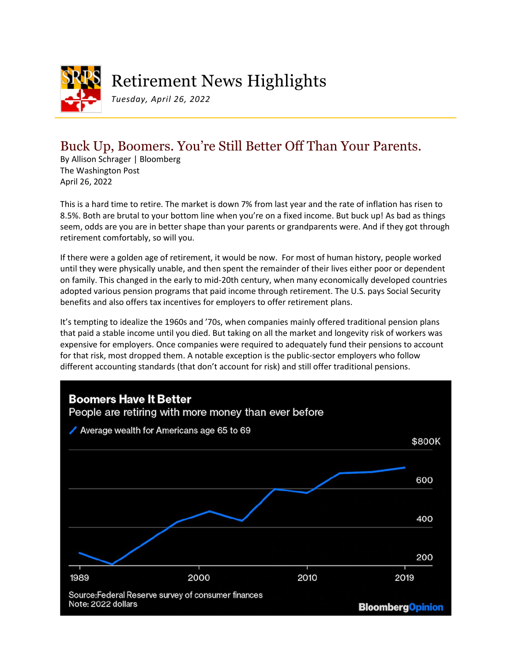

## Retirement News Highlights

*Tuesday, April 26, 2022*

## Buck Up, Boomers. You're Still Better Off Than Your Parents.

By Allison Schrager | Bloomberg The Washington Post April 26, 2022

This is a hard time to retire. The market is down 7% from last year and the rate of inflation has risen to 8.5%. Both are brutal to your bottom line when you're on a fixed income. But buck up! As bad as things seem, odds are you are in better shape than your parents or grandparents were. And if they got through retirement comfortably, so will you.

If there were a golden age of retirement, it would be now. For most of human history, people worked until they were physically unable, and then spent the remainder of their lives either poor or dependent on family. This changed in the early to mid-20th century, when many economically developed countries adopted various pension programs that paid income through retirement. The U.S. pays Social Security benefits and also offers tax incentives for employers to offer retirement plans.

It's tempting to idealize the 1960s and '70s, when companies mainly offered traditional pension plans that paid a stable income until you died. But taking on all the market and longevity risk of workers was expensive for employers. Once companies were required to adequately fund their pensions to account for that risk, most dropped them. A notable exception is the public-sector employers who follow different accounting standards (that don't account for risk) and still offer traditional pensions.

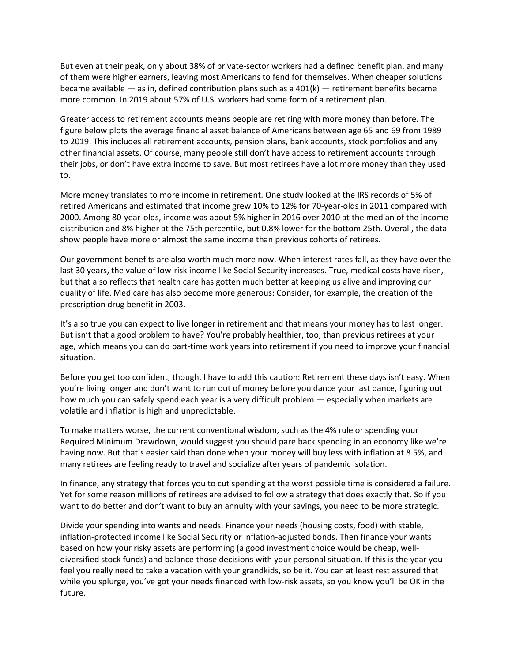But even at their peak, only about 38% of private-sector workers had a defined benefit plan, and many of them were higher earners, leaving most Americans to fend for themselves. When cheaper solutions became available — as in, defined contribution plans such as a  $401(k)$  — retirement benefits became more common. In 2019 about 57% of U.S. workers had some form of a retirement plan.

Greater access to retirement accounts means people are retiring with more money than before. The figure below plots the average financial asset balance of Americans between age 65 and 69 from 1989 to 2019. This includes all retirement accounts, pension plans, bank accounts, stock portfolios and any other financial assets. Of course, many people still don't have access to retirement accounts through their jobs, or don't have extra income to save. But most retirees have a lot more money than they used to.

More money translates to more income in retirement. One study looked at the IRS records of 5% of retired Americans and estimated that income grew 10% to 12% for 70-year-olds in 2011 compared with 2000. Among 80-year-olds, income was about 5% higher in 2016 over 2010 at the median of the income distribution and 8% higher at the 75th percentile, but 0.8% lower for the bottom 25th. Overall, the data show people have more or almost the same income than previous cohorts of retirees.

Our government benefits are also worth much more now. When interest rates fall, as they have over the last 30 years, the value of low-risk income like Social Security increases. True, medical costs have risen, but that also reflects that health care has gotten much better at keeping us alive and improving our quality of life. Medicare has also become more generous: Consider, for example, the creation of the prescription drug benefit in 2003.

It's also true you can expect to live longer in retirement and that means your money has to last longer. But isn't that a good problem to have? You're probably healthier, too, than previous retirees at your age, which means you can do part-time work years into retirement if you need to improve your financial situation.

Before you get too confident, though, I have to add this caution: Retirement these days isn't easy. When you're living longer and don't want to run out of money before you dance your last dance, figuring out how much you can safely spend each year is a very difficult problem — especially when markets are volatile and inflation is high and unpredictable.

To make matters worse, the current conventional wisdom, such as the 4% rule or spending your Required Minimum Drawdown, would suggest you should pare back spending in an economy like we're having now. But that's easier said than done when your money will buy less with inflation at 8.5%, and many retirees are feeling ready to travel and socialize after years of pandemic isolation.

In finance, any strategy that forces you to cut spending at the worst possible time is considered a failure. Yet for some reason millions of retirees are advised to follow a strategy that does exactly that. So if you want to do better and don't want to buy an annuity with your savings, you need to be more strategic.

Divide your spending into wants and needs. Finance your needs (housing costs, food) with stable, inflation-protected income like Social Security or inflation-adjusted bonds. Then finance your wants based on how your risky assets are performing (a good investment choice would be cheap, welldiversified stock funds) and balance those decisions with your personal situation. If this is the year you feel you really need to take a vacation with your grandkids, so be it. You can at least rest assured that while you splurge, you've got your needs financed with low-risk assets, so you know you'll be OK in the future.